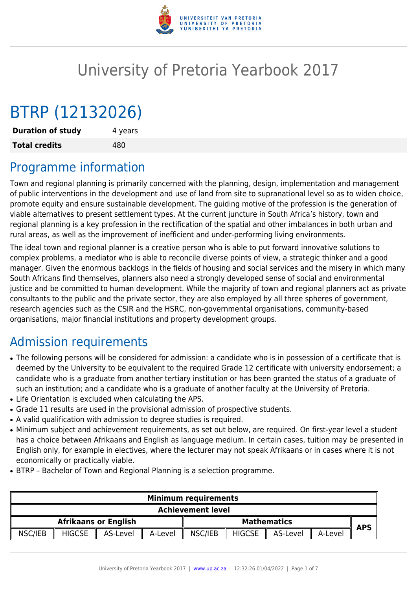

# University of Pretoria Yearbook 2017

# BTRP (12132026)

**Duration of study** 4 years **Total credits** 480

# Programme information

Town and regional planning is primarily concerned with the planning, design, implementation and management of public interventions in the development and use of land from site to supranational level so as to widen choice, promote equity and ensure sustainable development. The guiding motive of the profession is the generation of viable alternatives to present settlement types. At the current juncture in South Africa's history, town and regional planning is a key profession in the rectification of the spatial and other imbalances in both urban and rural areas, as well as the improvement of inefficient and under-performing living environments.

The ideal town and regional planner is a creative person who is able to put forward innovative solutions to complex problems, a mediator who is able to reconcile diverse points of view, a strategic thinker and a good manager. Given the enormous backlogs in the fields of housing and social services and the misery in which many South Africans find themselves, planners also need a strongly developed sense of social and environmental justice and be committed to human development. While the majority of town and regional planners act as private consultants to the public and the private sector, they are also employed by all three spheres of government, research agencies such as the CSIR and the HSRC, non-governmental organisations, community-based organisations, major financial institutions and property development groups.

# Admission requirements

- The following persons will be considered for admission: a candidate who is in possession of a certificate that is deemed by the University to be equivalent to the required Grade 12 certificate with university endorsement; a candidate who is a graduate from another tertiary institution or has been granted the status of a graduate of such an institution; and a candidate who is a graduate of another faculty at the University of Pretoria.
- Life Orientation is excluded when calculating the APS.
- Grade 11 results are used in the provisional admission of prospective students.
- A valid qualification with admission to degree studies is required.
- Minimum subject and achievement requirements, as set out below, are required. On first-year level a student has a choice between Afrikaans and English as language medium. In certain cases, tuition may be presented in English only, for example in electives, where the lecturer may not speak Afrikaans or in cases where it is not economically or practically viable.
- BTRP Bachelor of Town and Regional Planning is a selection programme.

| <b>Minimum requirements</b> |                          |          |               |                             |         |          |               |         |  |  |
|-----------------------------|--------------------------|----------|---------------|-----------------------------|---------|----------|---------------|---------|--|--|
|                             | <b>Achievement level</b> |          |               |                             |         |          |               |         |  |  |
| <b>APS</b>                  | <b>Mathematics</b>       |          |               | <b>Afrikaans or English</b> |         |          |               |         |  |  |
|                             | A-Level                  | AS-Level | <b>HIGCSE</b> | NSC/IEB<br>$\mathbf{I}$     | A-Level | AS-Level | <b>HIGCSE</b> | NSC/IEB |  |  |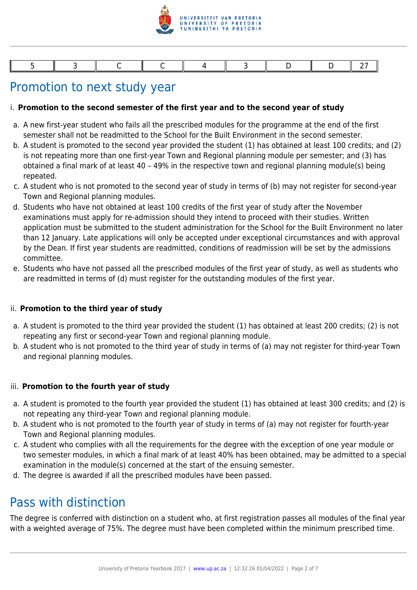

## Promotion to next study year

#### i. **Promotion to the second semester of the first year and to the second year of study**

- a. A new first-year student who fails all the prescribed modules for the programme at the end of the first semester shall not be readmitted to the School for the Built Environment in the second semester.
- b. A student is promoted to the second year provided the student (1) has obtained at least 100 credits; and (2) is not repeating more than one first-year Town and Regional planning module per semester; and (3) has obtained a final mark of at least 40 – 49% in the respective town and regional planning module(s) being repeated.
- c. A student who is not promoted to the second year of study in terms of (b) may not register for second-year Town and Regional planning modules.
- d. Students who have not obtained at least 100 credits of the first year of study after the November examinations must apply for re-admission should they intend to proceed with their studies. Written application must be submitted to the student administration for the School for the Built Environment no later than 12 January. Late applications will only be accepted under exceptional circumstances and with approval by the Dean. If first year students are readmitted, conditions of readmission will be set by the admissions committee.
- e. Students who have not passed all the prescribed modules of the first year of study, as well as students who are readmitted in terms of (d) must register for the outstanding modules of the first year.

#### ii. **Promotion to the third year of study**

- a. A student is promoted to the third year provided the student (1) has obtained at least 200 credits; (2) is not repeating any first or second-year Town and regional planning module.
- b. A student who is not promoted to the third year of study in terms of (a) may not register for third-year Town and regional planning modules.

#### iii. **Promotion to the fourth year of study**

- a. A student is promoted to the fourth year provided the student (1) has obtained at least 300 credits; and (2) is not repeating any third-year Town and regional planning module.
- b. A student who is not promoted to the fourth year of study in terms of (a) may not register for fourth-year Town and Regional planning modules.
- c. A student who complies with all the requirements for the degree with the exception of one year module or two semester modules, in which a final mark of at least 40% has been obtained, may be admitted to a special examination in the module(s) concerned at the start of the ensuing semester.
- d. The degree is awarded if all the prescribed modules have been passed.

### Pass with distinction

The degree is conferred with distinction on a student who, at first registration passes all modules of the final year with a weighted average of 75%. The degree must have been completed within the minimum prescribed time.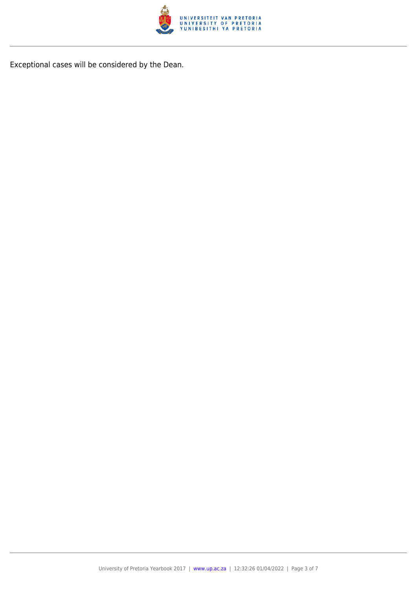

Exceptional cases will be considered by the Dean.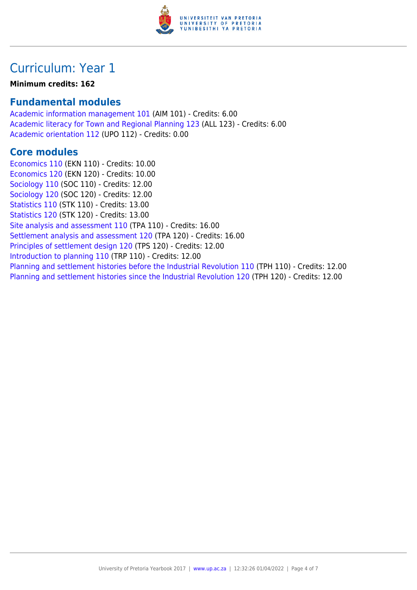

# Curriculum: Year 1

#### **Minimum credits: 162**

### **Fundamental modules**

[Academic information management 101](https://www.up.ac.za/mechanical-and-aeronautical-engineering/yearbooks/2017/modules/view/AIM 101) (AIM 101) - Credits: 6.00 [Academic literacy for Town and Regional Planning 123](https://www.up.ac.za/mechanical-and-aeronautical-engineering/yearbooks/2017/modules/view/ALL 123) (ALL 123) - Credits: 6.00 [Academic orientation 112](https://www.up.ac.za/mechanical-and-aeronautical-engineering/yearbooks/2017/modules/view/UPO 112) (UPO 112) - Credits: 0.00

### **Core modules**

[Economics 110](https://www.up.ac.za/mechanical-and-aeronautical-engineering/yearbooks/2017/modules/view/EKN 110) (EKN 110) - Credits: 10.00 [Economics 120](https://www.up.ac.za/mechanical-and-aeronautical-engineering/yearbooks/2017/modules/view/EKN 120) (EKN 120) - Credits: 10.00 [Sociology 110](https://www.up.ac.za/mechanical-and-aeronautical-engineering/yearbooks/2017/modules/view/SOC 110) (SOC 110) - Credits: 12.00 [Sociology 120](https://www.up.ac.za/mechanical-and-aeronautical-engineering/yearbooks/2017/modules/view/SOC 120) (SOC 120) - Credits: 12.00 [Statistics 110](https://www.up.ac.za/mechanical-and-aeronautical-engineering/yearbooks/2017/modules/view/STK 110) (STK 110) - Credits: 13.00 [Statistics 120](https://www.up.ac.za/mechanical-and-aeronautical-engineering/yearbooks/2017/modules/view/STK 120) (STK 120) - Credits: 13.00 [Site analysis and assessment 110](https://www.up.ac.za/mechanical-and-aeronautical-engineering/yearbooks/2017/modules/view/TPA 110) (TPA 110) - Credits: 16.00 [Settlement analysis and assessment 120](https://www.up.ac.za/mechanical-and-aeronautical-engineering/yearbooks/2017/modules/view/TPA 120) (TPA 120) - Credits: 16.00 [Principles of settlement design 120](https://www.up.ac.za/mechanical-and-aeronautical-engineering/yearbooks/2017/modules/view/TPS 120) (TPS 120) - Credits: 12.00 [Introduction to planning 110](https://www.up.ac.za/mechanical-and-aeronautical-engineering/yearbooks/2017/modules/view/TRP 110) (TRP 110) - Credits: 12.00 [Planning and settlement histories before the Industrial Revolution 110](https://www.up.ac.za/mechanical-and-aeronautical-engineering/yearbooks/2017/modules/view/TPH 110) (TPH 110) - Credits: 12.00 [Planning and settlement histories since the Industrial Revolution 120](https://www.up.ac.za/mechanical-and-aeronautical-engineering/yearbooks/2017/modules/view/TPH 120) (TPH 120) - Credits: 12.00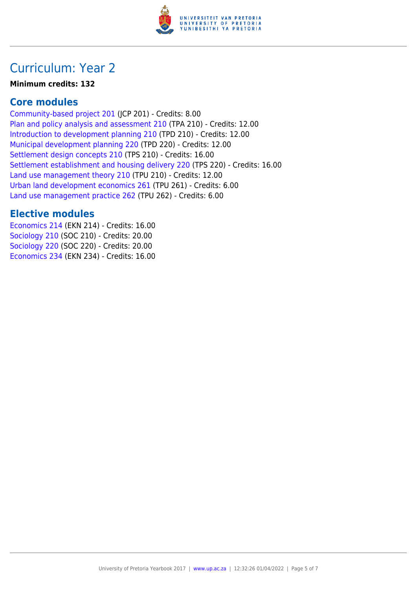

# Curriculum: Year 2

#### **Minimum credits: 132**

### **Core modules**

[Community-based project 201](https://www.up.ac.za/mechanical-and-aeronautical-engineering/yearbooks/2017/modules/view/JCP 201) (JCP 201) - Credits: 8.00 [Plan and policy analysis and assessment 210](https://www.up.ac.za/mechanical-and-aeronautical-engineering/yearbooks/2017/modules/view/TPA 210) (TPA 210) - Credits: 12.00 [Introduction to development planning 210](https://www.up.ac.za/mechanical-and-aeronautical-engineering/yearbooks/2017/modules/view/TPD 210) (TPD 210) - Credits: 12.00 [Municipal development planning 220](https://www.up.ac.za/mechanical-and-aeronautical-engineering/yearbooks/2017/modules/view/TPD 220) (TPD 220) - Credits: 12.00 [Settlement design concepts 210](https://www.up.ac.za/mechanical-and-aeronautical-engineering/yearbooks/2017/modules/view/TPS 210) (TPS 210) - Credits: 16.00 [Settlement establishment and housing delivery 220](https://www.up.ac.za/mechanical-and-aeronautical-engineering/yearbooks/2017/modules/view/TPS 220) (TPS 220) - Credits: 16.00 [Land use management theory 210](https://www.up.ac.za/mechanical-and-aeronautical-engineering/yearbooks/2017/modules/view/TPU 210) (TPU 210) - Credits: 12.00 [Urban land development economics 261](https://www.up.ac.za/mechanical-and-aeronautical-engineering/yearbooks/2017/modules/view/TPU 261) (TPU 261) - Credits: 6.00 [Land use management practice 262](https://www.up.ac.za/mechanical-and-aeronautical-engineering/yearbooks/2017/modules/view/TPU 262) (TPU 262) - Credits: 6.00

### **Elective modules**

[Economics 214](https://www.up.ac.za/mechanical-and-aeronautical-engineering/yearbooks/2017/modules/view/EKN 214) (EKN 214) - Credits: 16.00 [Sociology 210](https://www.up.ac.za/mechanical-and-aeronautical-engineering/yearbooks/2017/modules/view/SOC 210) (SOC 210) - Credits: 20.00 [Sociology 220](https://www.up.ac.za/mechanical-and-aeronautical-engineering/yearbooks/2017/modules/view/SOC 220) (SOC 220) - Credits: 20.00 [Economics 234](https://www.up.ac.za/mechanical-and-aeronautical-engineering/yearbooks/2017/modules/view/EKN 234) (EKN 234) - Credits: 16.00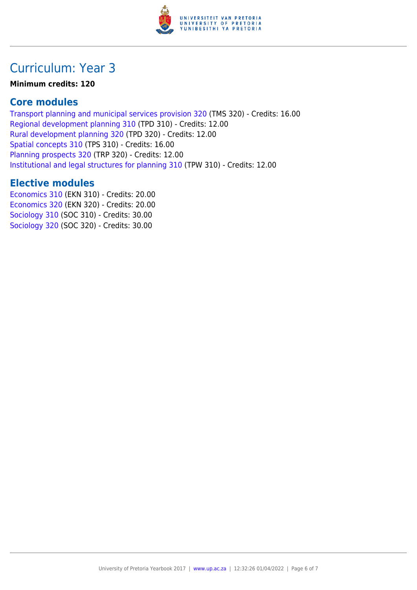

# Curriculum: Year 3

#### **Minimum credits: 120**

### **Core modules**

[Transport planning and municipal services provision 320](https://www.up.ac.za/mechanical-and-aeronautical-engineering/yearbooks/2017/modules/view/TMS 320) (TMS 320) - Credits: 16.00 [Regional development planning 310](https://www.up.ac.za/mechanical-and-aeronautical-engineering/yearbooks/2017/modules/view/TPD 310) (TPD 310) - Credits: 12.00 [Rural development planning 320](https://www.up.ac.za/mechanical-and-aeronautical-engineering/yearbooks/2017/modules/view/TPD 320) (TPD 320) - Credits: 12.00 [Spatial concepts 310](https://www.up.ac.za/mechanical-and-aeronautical-engineering/yearbooks/2017/modules/view/TPS 310) (TPS 310) - Credits: 16.00 [Planning prospects 320](https://www.up.ac.za/mechanical-and-aeronautical-engineering/yearbooks/2017/modules/view/TRP 320) (TRP 320) - Credits: 12.00 [Institutional and legal structures for planning 310](https://www.up.ac.za/mechanical-and-aeronautical-engineering/yearbooks/2017/modules/view/TPW 310) (TPW 310) - Credits: 12.00

### **Elective modules**

[Economics 310](https://www.up.ac.za/mechanical-and-aeronautical-engineering/yearbooks/2017/modules/view/EKN 310) (EKN 310) - Credits: 20.00 [Economics 320](https://www.up.ac.za/mechanical-and-aeronautical-engineering/yearbooks/2017/modules/view/EKN 320) (EKN 320) - Credits: 20.00 [Sociology 310](https://www.up.ac.za/mechanical-and-aeronautical-engineering/yearbooks/2017/modules/view/SOC 310) (SOC 310) - Credits: 30.00 [Sociology 320](https://www.up.ac.za/mechanical-and-aeronautical-engineering/yearbooks/2017/modules/view/SOC 320) (SOC 320) - Credits: 30.00